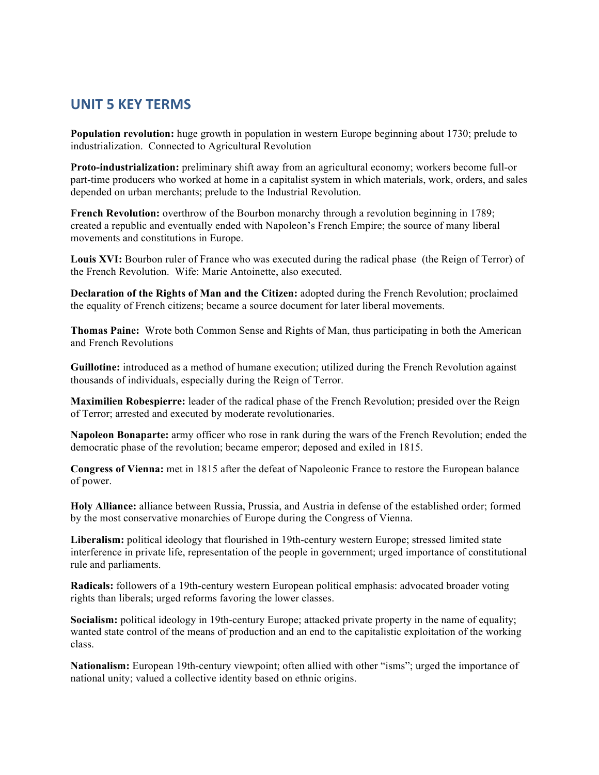## **UNIT 5 KEY TERMS**

**Population revolution:** huge growth in population in western Europe beginning about 1730; prelude to industrialization. Connected to Agricultural Revolution

**Proto-industrialization:** preliminary shift away from an agricultural economy; workers become full-or part-time producers who worked at home in a capitalist system in which materials, work, orders, and sales depended on urban merchants; prelude to the Industrial Revolution.

**French Revolution:** overthrow of the Bourbon monarchy through a revolution beginning in 1789; created a republic and eventually ended with Napoleon's French Empire; the source of many liberal movements and constitutions in Europe.

**Louis XVI:** Bourbon ruler of France who was executed during the radical phase (the Reign of Terror) of the French Revolution. Wife: Marie Antoinette, also executed.

**Declaration of the Rights of Man and the Citizen:** adopted during the French Revolution; proclaimed the equality of French citizens; became a source document for later liberal movements.

**Thomas Paine:** Wrote both Common Sense and Rights of Man, thus participating in both the American and French Revolutions

**Guillotine:** introduced as a method of humane execution; utilized during the French Revolution against thousands of individuals, especially during the Reign of Terror.

**Maximilien Robespierre:** leader of the radical phase of the French Revolution; presided over the Reign of Terror; arrested and executed by moderate revolutionaries.

**Napoleon Bonaparte:** army officer who rose in rank during the wars of the French Revolution; ended the democratic phase of the revolution; became emperor; deposed and exiled in 1815.

**Congress of Vienna:** met in 1815 after the defeat of Napoleonic France to restore the European balance of power.

**Holy Alliance:** alliance between Russia, Prussia, and Austria in defense of the established order; formed by the most conservative monarchies of Europe during the Congress of Vienna.

**Liberalism:** political ideology that flourished in 19th-century western Europe; stressed limited state interference in private life, representation of the people in government; urged importance of constitutional rule and parliaments.

**Radicals:** followers of a 19th-century western European political emphasis: advocated broader voting rights than liberals; urged reforms favoring the lower classes.

**Socialism:** political ideology in 19th-century Europe; attacked private property in the name of equality; wanted state control of the means of production and an end to the capitalistic exploitation of the working class.

**Nationalism:** European 19th-century viewpoint; often allied with other "isms"; urged the importance of national unity; valued a collective identity based on ethnic origins.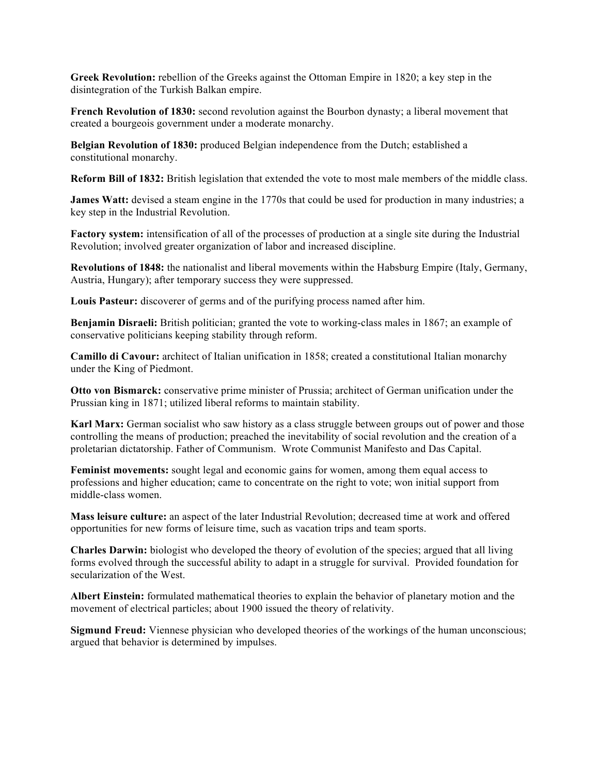**Greek Revolution:** rebellion of the Greeks against the Ottoman Empire in 1820; a key step in the disintegration of the Turkish Balkan empire.

**French Revolution of 1830:** second revolution against the Bourbon dynasty; a liberal movement that created a bourgeois government under a moderate monarchy.

**Belgian Revolution of 1830:** produced Belgian independence from the Dutch; established a constitutional monarchy.

**Reform Bill of 1832:** British legislation that extended the vote to most male members of the middle class.

**James Watt:** devised a steam engine in the 1770s that could be used for production in many industries; a key step in the Industrial Revolution.

**Factory system:** intensification of all of the processes of production at a single site during the Industrial Revolution; involved greater organization of labor and increased discipline.

**Revolutions of 1848:** the nationalist and liberal movements within the Habsburg Empire (Italy, Germany, Austria, Hungary); after temporary success they were suppressed.

**Louis Pasteur:** discoverer of germs and of the purifying process named after him.

**Benjamin Disraeli:** British politician; granted the vote to working-class males in 1867; an example of conservative politicians keeping stability through reform.

**Camillo di Cavour:** architect of Italian unification in 1858; created a constitutional Italian monarchy under the King of Piedmont.

**Otto von Bismarck:** conservative prime minister of Prussia; architect of German unification under the Prussian king in 1871; utilized liberal reforms to maintain stability.

**Karl Marx:** German socialist who saw history as a class struggle between groups out of power and those controlling the means of production; preached the inevitability of social revolution and the creation of a proletarian dictatorship. Father of Communism. Wrote Communist Manifesto and Das Capital.

**Feminist movements:** sought legal and economic gains for women, among them equal access to professions and higher education; came to concentrate on the right to vote; won initial support from middle-class women.

**Mass leisure culture:** an aspect of the later Industrial Revolution; decreased time at work and offered opportunities for new forms of leisure time, such as vacation trips and team sports.

**Charles Darwin:** biologist who developed the theory of evolution of the species; argued that all living forms evolved through the successful ability to adapt in a struggle for survival. Provided foundation for secularization of the West.

**Albert Einstein:** formulated mathematical theories to explain the behavior of planetary motion and the movement of electrical particles; about 1900 issued the theory of relativity.

**Sigmund Freud:** Viennese physician who developed theories of the workings of the human unconscious; argued that behavior is determined by impulses.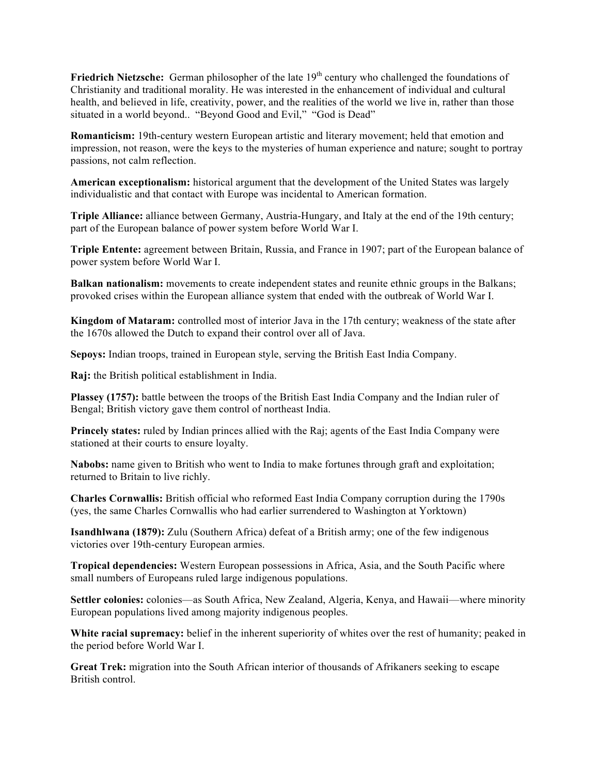**Friedrich Nietzsche:** German philosopher of the late 19<sup>th</sup> century who challenged the foundations of Christianity and traditional morality. He was interested in the enhancement of individual and cultural health, and believed in life, creativity, power, and the realities of the world we live in, rather than those situated in a world beyond.. "Beyond Good and Evil," "God is Dead"

**Romanticism:** 19th-century western European artistic and literary movement; held that emotion and impression, not reason, were the keys to the mysteries of human experience and nature; sought to portray passions, not calm reflection.

**American exceptionalism:** historical argument that the development of the United States was largely individualistic and that contact with Europe was incidental to American formation.

**Triple Alliance:** alliance between Germany, Austria-Hungary, and Italy at the end of the 19th century; part of the European balance of power system before World War I.

**Triple Entente:** agreement between Britain, Russia, and France in 1907; part of the European balance of power system before World War I.

**Balkan nationalism:** movements to create independent states and reunite ethnic groups in the Balkans; provoked crises within the European alliance system that ended with the outbreak of World War I.

**Kingdom of Mataram:** controlled most of interior Java in the 17th century; weakness of the state after the 1670s allowed the Dutch to expand their control over all of Java.

**Sepoys:** Indian troops, trained in European style, serving the British East India Company.

**Raj:** the British political establishment in India.

**Plassey (1757):** battle between the troops of the British East India Company and the Indian ruler of Bengal; British victory gave them control of northeast India.

**Princely states:** ruled by Indian princes allied with the Raj; agents of the East India Company were stationed at their courts to ensure loyalty.

**Nabobs:** name given to British who went to India to make fortunes through graft and exploitation; returned to Britain to live richly.

**Charles Cornwallis:** British official who reformed East India Company corruption during the 1790s (yes, the same Charles Cornwallis who had earlier surrendered to Washington at Yorktown)

**Isandhlwana (1879):** Zulu (Southern Africa) defeat of a British army; one of the few indigenous victories over 19th-century European armies.

**Tropical dependencies:** Western European possessions in Africa, Asia, and the South Pacific where small numbers of Europeans ruled large indigenous populations.

**Settler colonies:** colonies—as South Africa, New Zealand, Algeria, Kenya, and Hawaii—where minority European populations lived among majority indigenous peoples.

**White racial supremacy:** belief in the inherent superiority of whites over the rest of humanity; peaked in the period before World War I.

**Great Trek:** migration into the South African interior of thousands of Afrikaners seeking to escape British control.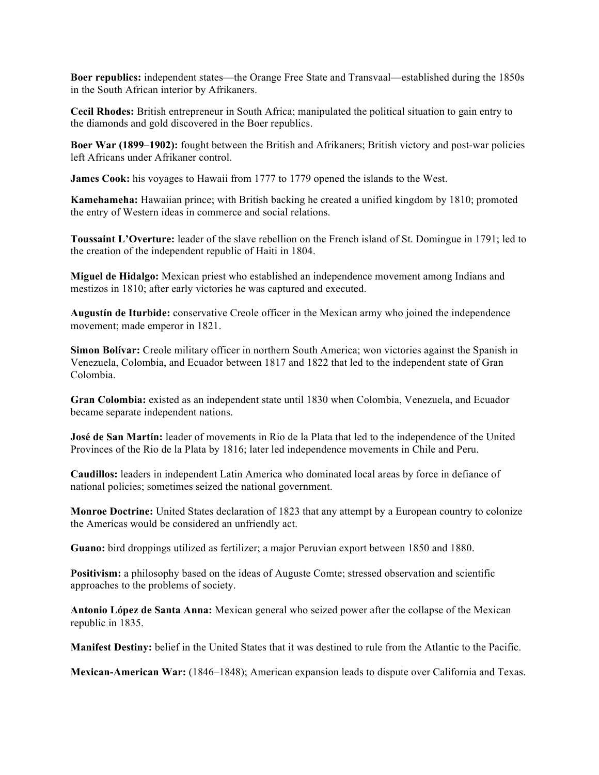**Boer republics:** independent states—the Orange Free State and Transvaal—established during the 1850s in the South African interior by Afrikaners.

**Cecil Rhodes:** British entrepreneur in South Africa; manipulated the political situation to gain entry to the diamonds and gold discovered in the Boer republics.

**Boer War (1899–1902):** fought between the British and Afrikaners; British victory and post-war policies left Africans under Afrikaner control.

**James Cook:** his voyages to Hawaii from 1777 to 1779 opened the islands to the West.

**Kamehameha:** Hawaiian prince; with British backing he created a unified kingdom by 1810; promoted the entry of Western ideas in commerce and social relations.

**Toussaint L'Overture:** leader of the slave rebellion on the French island of St. Domingue in 1791; led to the creation of the independent republic of Haiti in 1804.

**Miguel de Hidalgo:** Mexican priest who established an independence movement among Indians and mestizos in 1810; after early victories he was captured and executed.

**Augustín de Iturbide:** conservative Creole officer in the Mexican army who joined the independence movement; made emperor in 1821.

**Simon Bolívar:** Creole military officer in northern South America; won victories against the Spanish in Venezuela, Colombia, and Ecuador between 1817 and 1822 that led to the independent state of Gran Colombia.

**Gran Colombia:** existed as an independent state until 1830 when Colombia, Venezuela, and Ecuador became separate independent nations.

**José de San Martín:** leader of movements in Rio de la Plata that led to the independence of the United Provinces of the Rio de la Plata by 1816; later led independence movements in Chile and Peru.

**Caudillos:** leaders in independent Latin America who dominated local areas by force in defiance of national policies; sometimes seized the national government.

**Monroe Doctrine:** United States declaration of 1823 that any attempt by a European country to colonize the Americas would be considered an unfriendly act.

Guano: bird droppings utilized as fertilizer; a major Peruvian export between 1850 and 1880.

**Positivism:** a philosophy based on the ideas of Auguste Comte; stressed observation and scientific approaches to the problems of society.

**Antonio López de Santa Anna:** Mexican general who seized power after the collapse of the Mexican republic in 1835.

**Manifest Destiny:** belief in the United States that it was destined to rule from the Atlantic to the Pacific.

**Mexican-American War:** (1846–1848); American expansion leads to dispute over California and Texas.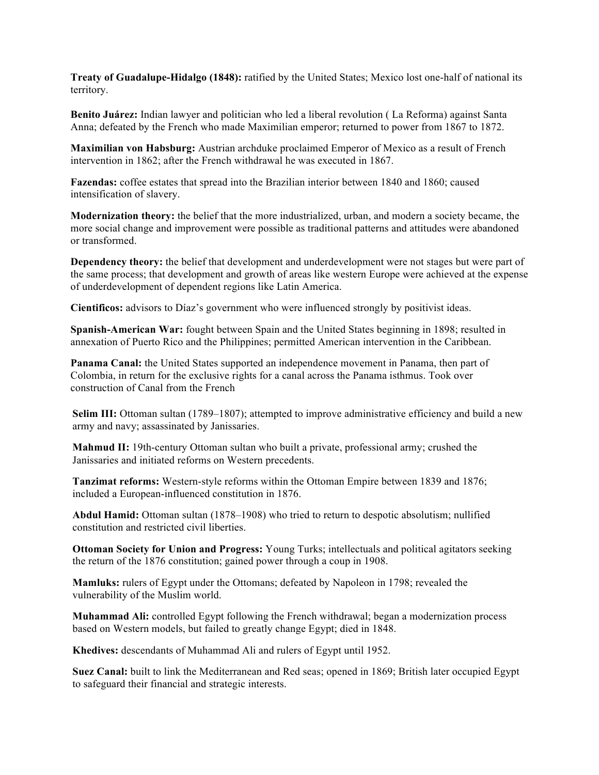**Treaty of Guadalupe-Hidalgo (1848):** ratified by the United States; Mexico lost one-half of national its territory.

**Benito Juárez:** Indian lawyer and politician who led a liberal revolution ( La Reforma) against Santa Anna; defeated by the French who made Maximilian emperor; returned to power from 1867 to 1872.

**Maximilian von Habsburg:** Austrian archduke proclaimed Emperor of Mexico as a result of French intervention in 1862; after the French withdrawal he was executed in 1867.

**Fazendas:** coffee estates that spread into the Brazilian interior between 1840 and 1860; caused intensification of slavery.

**Modernization theory:** the belief that the more industrialized, urban, and modern a society became, the more social change and improvement were possible as traditional patterns and attitudes were abandoned or transformed.

**Dependency theory:** the belief that development and underdevelopment were not stages but were part of the same process; that development and growth of areas like western Europe were achieved at the expense of underdevelopment of dependent regions like Latin America.

**Cientificos:** advisors to Díaz's government who were influenced strongly by positivist ideas.

**Spanish-American War:** fought between Spain and the United States beginning in 1898; resulted in annexation of Puerto Rico and the Philippines; permitted American intervention in the Caribbean.

**Panama Canal:** the United States supported an independence movement in Panama, then part of Colombia, in return for the exclusive rights for a canal across the Panama isthmus. Took over construction of Canal from the French

**Selim III:** Ottoman sultan (1789–1807); attempted to improve administrative efficiency and build a new army and navy; assassinated by Janissaries.

**Mahmud II:** 19th-century Ottoman sultan who built a private, professional army; crushed the Janissaries and initiated reforms on Western precedents.

**Tanzimat reforms:** Western-style reforms within the Ottoman Empire between 1839 and 1876; included a European-influenced constitution in 1876.

**Abdul Hamid:** Ottoman sultan (1878–1908) who tried to return to despotic absolutism; nullified constitution and restricted civil liberties.

**Ottoman Society for Union and Progress:** Young Turks; intellectuals and political agitators seeking the return of the 1876 constitution; gained power through a coup in 1908.

**Mamluks:** rulers of Egypt under the Ottomans; defeated by Napoleon in 1798; revealed the vulnerability of the Muslim world.

**Muhammad Ali:** controlled Egypt following the French withdrawal; began a modernization process based on Western models, but failed to greatly change Egypt; died in 1848.

**Khedives:** descendants of Muhammad Ali and rulers of Egypt until 1952.

**Suez Canal:** built to link the Mediterranean and Red seas; opened in 1869; British later occupied Egypt to safeguard their financial and strategic interests.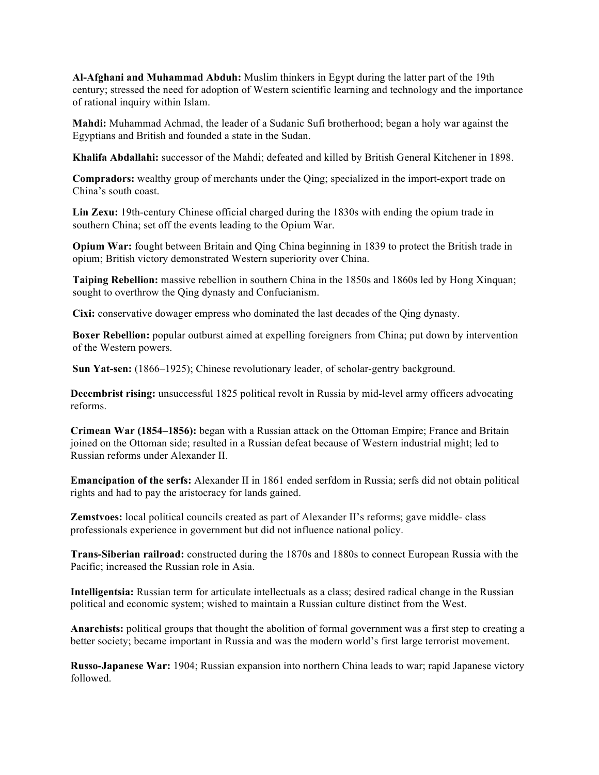**Al-Afghani and Muhammad Abduh:** Muslim thinkers in Egypt during the latter part of the 19th century; stressed the need for adoption of Western scientific learning and technology and the importance of rational inquiry within Islam.

**Mahdi:** Muhammad Achmad, the leader of a Sudanic Sufi brotherhood; began a holy war against the Egyptians and British and founded a state in the Sudan.

**Khalifa Abdallahi:** successor of the Mahdi; defeated and killed by British General Kitchener in 1898.

**Compradors:** wealthy group of merchants under the Qing; specialized in the import-export trade on China's south coast.

**Lin Zexu:** 19th-century Chinese official charged during the 1830s with ending the opium trade in southern China; set off the events leading to the Opium War.

**Opium War:** fought between Britain and Qing China beginning in 1839 to protect the British trade in opium; British victory demonstrated Western superiority over China.

**Taiping Rebellion:** massive rebellion in southern China in the 1850s and 1860s led by Hong Xinquan; sought to overthrow the Qing dynasty and Confucianism.

**Cixi:** conservative dowager empress who dominated the last decades of the Qing dynasty.

**Boxer Rebellion:** popular outburst aimed at expelling foreigners from China; put down by intervention of the Western powers.

**Sun Yat-sen:** (1866–1925); Chinese revolutionary leader, of scholar-gentry background.

**Decembrist rising:** unsuccessful 1825 political revolt in Russia by mid-level army officers advocating reforms.

**Crimean War (1854–1856):** began with a Russian attack on the Ottoman Empire; France and Britain joined on the Ottoman side; resulted in a Russian defeat because of Western industrial might; led to Russian reforms under Alexander II.

**Emancipation of the serfs:** Alexander II in 1861 ended serfdom in Russia; serfs did not obtain political rights and had to pay the aristocracy for lands gained.

**Zemstvoes:** local political councils created as part of Alexander II's reforms; gave middle- class professionals experience in government but did not influence national policy.

**Trans-Siberian railroad:** constructed during the 1870s and 1880s to connect European Russia with the Pacific; increased the Russian role in Asia.

**Intelligentsia:** Russian term for articulate intellectuals as a class; desired radical change in the Russian political and economic system; wished to maintain a Russian culture distinct from the West.

**Anarchists:** political groups that thought the abolition of formal government was a first step to creating a better society; became important in Russia and was the modern world's first large terrorist movement.

**Russo-Japanese War:** 1904; Russian expansion into northern China leads to war; rapid Japanese victory followed.